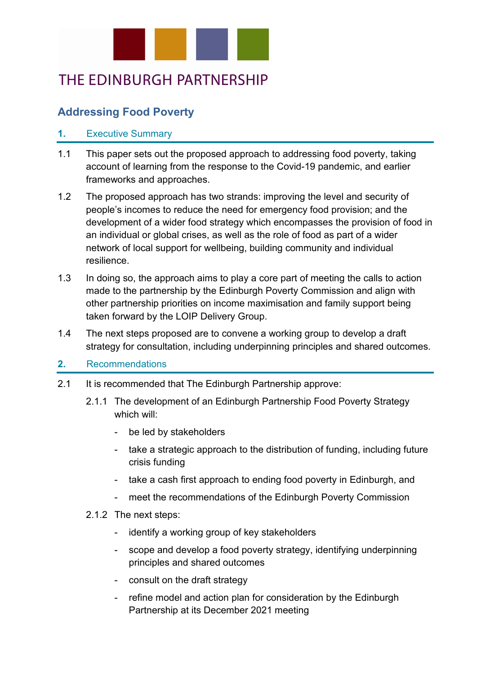

# THE EDINBURGH PARTNERSHIP

# **Addressing Food Poverty**

#### **1.** Executive Summary

- 1.1 This paper sets out the proposed approach to addressing food poverty, taking account of learning from the response to the Covid-19 pandemic, and earlier frameworks and approaches.
- 1.2 The proposed approach has two strands: improving the level and security of people's incomes to reduce the need for emergency food provision; and the development of a wider food strategy which encompasses the provision of food in an individual or global crises, as well as the role of food as part of a wider network of local support for wellbeing, building community and individual resilience.
- 1.3 In doing so, the approach aims to play a core part of meeting the calls to action made to the partnership by the Edinburgh Poverty Commission and align with other partnership priorities on income maximisation and family support being taken forward by the LOIP Delivery Group.
- 1.4 The next steps proposed are to convene a working group to develop a draft strategy for consultation, including underpinning principles and shared outcomes.

#### **2.** Recommendations

- 2.1 It is recommended that The Edinburgh Partnership approve:
	- 2.1.1 The development of an Edinburgh Partnership Food Poverty Strategy which will:
		- be led by stakeholders
		- take a strategic approach to the distribution of funding, including future crisis funding
		- take a cash first approach to ending food poverty in Edinburgh, and
		- meet the recommendations of the Edinburgh Poverty Commission

#### 2.1.2 The next steps:

- identify a working group of key stakeholders
- scope and develop a food poverty strategy, identifying underpinning principles and shared outcomes
- consult on the draft strategy
- refine model and action plan for consideration by the Edinburgh Partnership at its December 2021 meeting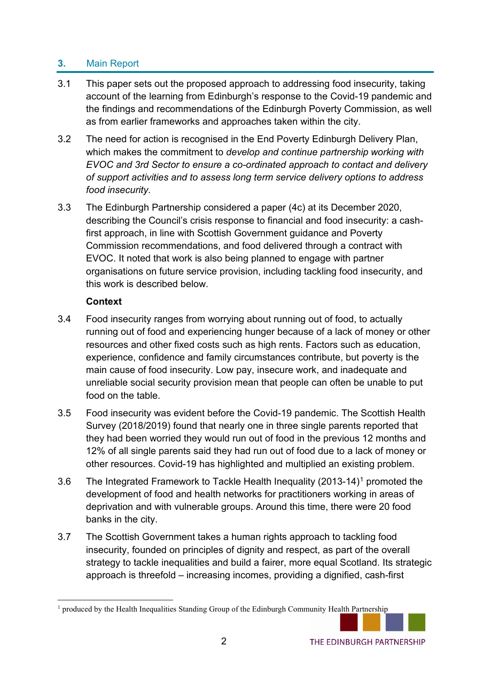# **3.** Main Report

- 3.1 This paper sets out the proposed approach to addressing food insecurity, taking account of the learning from Edinburgh's response to the Covid-19 pandemic and the findings and recommendations of the Edinburgh Poverty Commission, as well as from earlier frameworks and approaches taken within the city.
- 3.2 The need for action is recognised in the End Poverty Edinburgh Delivery Plan, which makes the commitment to *develop and continue partnership working with EVOC and 3rd Sector to ensure a co-ordinated approach to contact and delivery of support activities and to assess long term service delivery options to address food insecurity*.
- 3.3 The Edinburgh Partnership considered a paper (4c) at its December 2020, describing the Council's crisis response to financial and food insecurity: a cashfirst approach, in line with Scottish Government guidance and Poverty Commission recommendations, and food delivered through a contract with EVOC. It noted that work is also being planned to engage with partner organisations on future service provision, including tackling food insecurity, and this work is described below.

## **Context**

- 3.4 Food insecurity ranges from worrying about running out of food, to actually running out of food and experiencing hunger because of a lack of money or other resources and other fixed costs such as high rents. Factors such as education, experience, confidence and family circumstances contribute, but poverty is the main cause of food insecurity. Low pay, insecure work, and inadequate and unreliable social security provision mean that people can often be unable to put food on the table.
- 3.5 Food insecurity was evident before the Covid-19 pandemic. The Scottish Health Survey (2018/2019) found that nearly one in three single parents reported that they had been worried they would run out of food in the previous 12 months and 12% of all single parents said they had run out of food due to a lack of money or other resources. Covid-19 has highlighted and multiplied an existing problem.
- 3.6 The Integrated Framework to Tackle Health Inequality (2013-14)[1](#page-1-0) promoted the development of food and health networks for practitioners working in areas of deprivation and with vulnerable groups. Around this time, there were 20 food banks in the city.
- 3.7 The Scottish Government takes a human rights approach to tackling food insecurity, founded on principles of dignity and respect, as part of the overall strategy to tackle inequalities and build a fairer, more equal Scotland. Its strategic approach is threefold – increasing incomes, providing a dignified, cash-first

<span id="page-1-0"></span><sup>&</sup>lt;sup>1</sup> produced by the Health Inequalities Standing Group of the Edinburgh Community Health Partnership

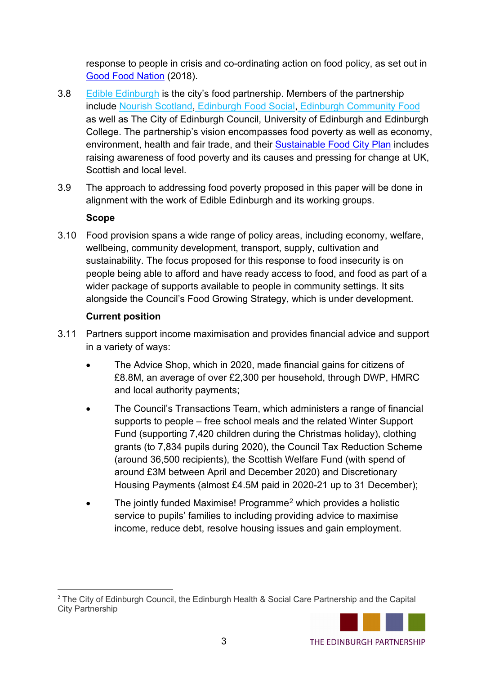response to people in crisis and co-ordinating action on food policy, as set out in [Good Food Nation](https://www.gov.scot/policies/food-and-drink/good-food-nation/) (2018).

- 3.8 [Edible Edinburgh](https://www.edible-edinburgh.org/) is the city's food partnership. Members of the partnership include [Nourish Scotland](http://www.nourishscotland.org/)[,](https://edinburghfoodsocial.org/) [Edinburgh Food Social,](https://edinburghfoodsocial.org/) [Edinburgh Community Food](https://www.edinburghcommunityfood.org.uk/) as well as [The City of Edinburgh Council,](https://www.edinburgh.gov.uk/) [University of Edinburgh](https://www.ed.ac.uk/) and [Edinburgh](http://www.edinburghcollege.ac.uk/)  [College.](http://www.edinburghcollege.ac.uk/) The partnership's vision encompasses food poverty as well as economy, environment, health and fair trade, and their [Sustainable Food City Plan](https://edible-edinburgh.org/wp-content/uploads/2015/06/EdibleEdinSusFoodCity-Plan-140429-FINAL.pdf) includes raising awareness of food poverty and its causes and pressing for change at UK, Scottish and local level.
- 3.9 The approach to addressing food poverty proposed in this paper will be done in alignment with the work of Edible Edinburgh and its working groups.

## **Scope**

3.10 Food provision spans a wide range of policy areas, including economy, welfare, wellbeing, community development, transport, supply, cultivation and sustainability. The focus proposed for this response to food insecurity is on people being able to afford and have ready access to food, and food as part of a wider package of supports available to people in community settings. It sits alongside the Council's Food Growing Strategy, which is under development.

## **Current position**

- 3.11 Partners support income maximisation and provides financial advice and support in a variety of ways:
	- The Advice Shop, which in 2020, made financial gains for citizens of £8.8M, an average of over £2,300 per household, through DWP, HMRC and local authority payments;
	- The Council's Transactions Team, which administers a range of financial supports to people – free school meals and the related Winter Support Fund (supporting 7,420 children during the Christmas holiday), clothing grants (to 7,834 pupils during 2020), the Council Tax Reduction Scheme (around 36,500 recipients), the Scottish Welfare Fund (with spend of around £3M between April and December 2020) and Discretionary Housing Payments (almost £4.5M paid in 2020-21 up to 31 December);
	- The jointly funded Maximise! Programme<sup>[2](#page-2-0)</sup> which provides a holistic service to pupils' families to including providing advice to maximise income, reduce debt, resolve housing issues and gain employment.

<span id="page-2-0"></span><sup>&</sup>lt;sup>2</sup> The City of Edinburgh Council, the Edinburgh Health & Social Care Partnership and the Capital City Partnership

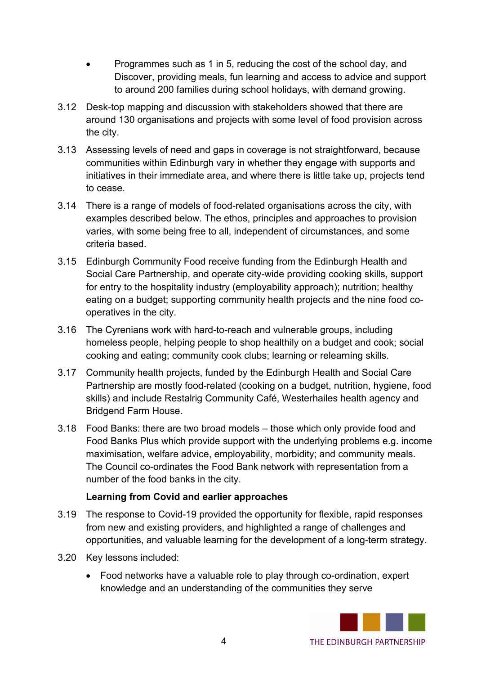- Programmes such as 1 in 5, reducing the cost of the school day, and Discover, providing meals, fun learning and access to advice and support to around 200 families during school holidays, with demand growing.
- 3.12 Desk-top mapping and discussion with stakeholders showed that there are around 130 organisations and projects with some level of food provision across the city.
- 3.13 Assessing levels of need and gaps in coverage is not straightforward, because communities within Edinburgh vary in whether they engage with supports and initiatives in their immediate area, and where there is little take up, projects tend to cease.
- 3.14 There is a range of models of food-related organisations across the city, with examples described below. The ethos, principles and approaches to provision varies, with some being free to all, independent of circumstances, and some criteria based.
- 3.15 Edinburgh Community Food receive funding from the Edinburgh Health and Social Care Partnership, and operate city-wide providing cooking skills, support for entry to the hospitality industry (employability approach); nutrition; healthy eating on a budget; supporting community health projects and the nine food cooperatives in the city.
- 3.16 The Cyrenians work with hard-to-reach and vulnerable groups, including homeless people, helping people to shop healthily on a budget and cook; social cooking and eating; community cook clubs; learning or relearning skills.
- 3.17 Community health projects, funded by the Edinburgh Health and Social Care Partnership are mostly food-related (cooking on a budget, nutrition, hygiene, food skills) and include Restalrig Community Café, Westerhailes health agency and Bridgend Farm House.
- 3.18 Food Banks: there are two broad models those which only provide food and Food Banks Plus which provide support with the underlying problems e.g. income maximisation, welfare advice, employability, morbidity; and community meals. The Council co-ordinates the Food Bank network with representation from a number of the food banks in the city.

#### **Learning from Covid and earlier approaches**

- 3.19 The response to Covid-19 provided the opportunity for flexible, rapid responses from new and existing providers, and highlighted a range of challenges and opportunities, and valuable learning for the development of a long-term strategy.
- 3.20 Key lessons included:
	- Food networks have a valuable role to play through co-ordination, expert knowledge and an understanding of the communities they serve

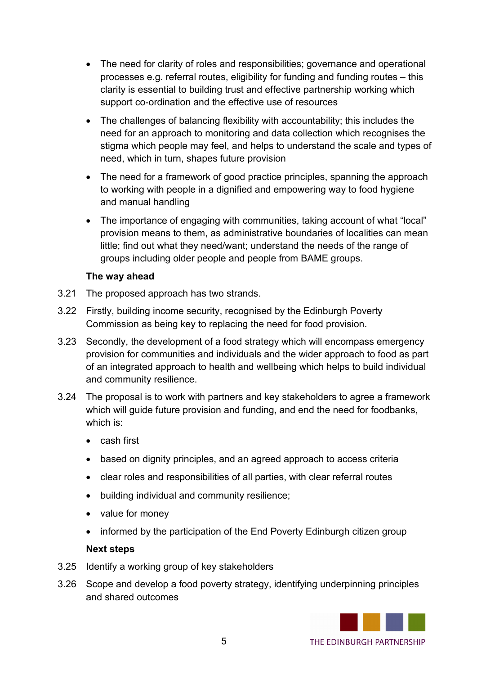- The need for clarity of roles and responsibilities; governance and operational processes e.g. referral routes, eligibility for funding and funding routes – this clarity is essential to building trust and effective partnership working which support co-ordination and the effective use of resources
- The challenges of balancing flexibility with accountability; this includes the need for an approach to monitoring and data collection which recognises the stigma which people may feel, and helps to understand the scale and types of need, which in turn, shapes future provision
- The need for a framework of good practice principles, spanning the approach to working with people in a dignified and empowering way to food hygiene and manual handling
- The importance of engaging with communities, taking account of what "local" provision means to them, as administrative boundaries of localities can mean little; find out what they need/want; understand the needs of the range of groups including older people and people from BAME groups.

#### **The way ahead**

- 3.21 The proposed approach has two strands.
- 3.22 Firstly, building income security, recognised by the Edinburgh Poverty Commission as being key to replacing the need for food provision.
- 3.23 Secondly, the development of a food strategy which will encompass emergency provision for communities and individuals and the wider approach to food as part of an integrated approach to health and wellbeing which helps to build individual and community resilience.
- 3.24 The proposal is to work with partners and key stakeholders to agree a framework which will guide future provision and funding, and end the need for foodbanks, which is:
	- cash first
	- based on dignity principles, and an agreed approach to access criteria
	- clear roles and responsibilities of all parties, with clear referral routes
	- building individual and community resilience;
	- value for money
	- informed by the participation of the End Poverty Edinburgh citizen group

#### **Next steps**

- 3.25 Identify a working group of key stakeholders
- 3.26 Scope and develop a food poverty strategy, identifying underpinning principles and shared outcomes

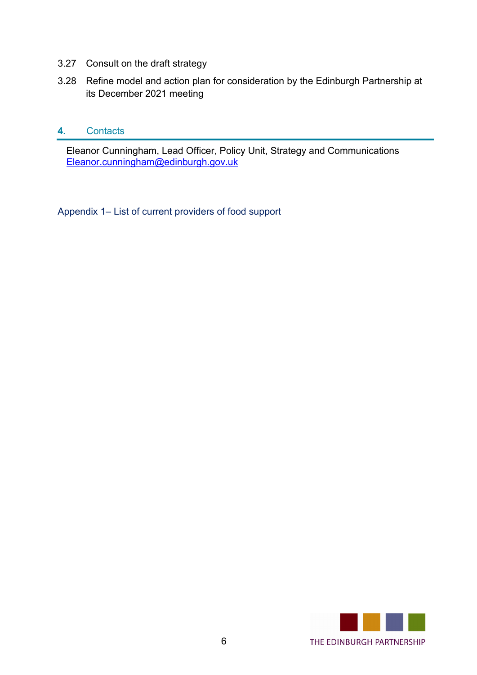- 3.27 Consult on the draft strategy
- 3.28 Refine model and action plan for consideration by the Edinburgh Partnership at its December 2021 meeting

#### **4.** Contacts

Eleanor Cunningham, Lead Officer, Policy Unit, Strategy and Communications [Eleanor.cunningham@edinburgh.gov.uk](mailto:Eleanor.cunningham@edinburgh.gov.uk)

Appendix 1– List of current providers of food support

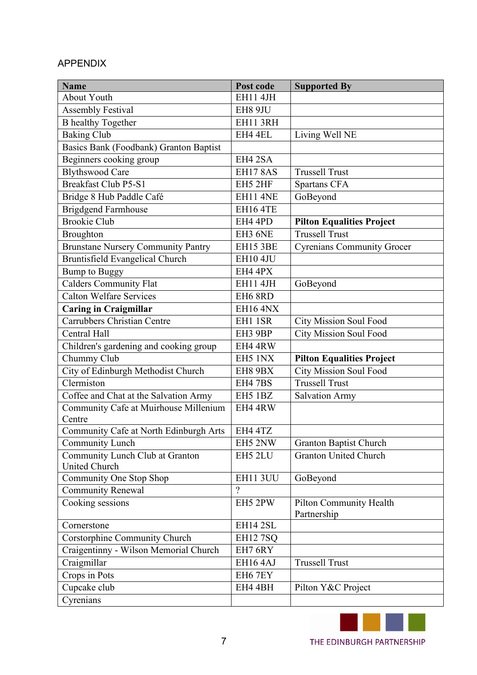## APPENDIX

| <b>Name</b>                               | Post code                   | <b>Supported By</b>                    |
|-------------------------------------------|-----------------------------|----------------------------------------|
| <b>About Youth</b>                        | <b>EH11 4JH</b>             |                                        |
| <b>Assembly Festival</b>                  | EH8 9JU                     |                                        |
| <b>B</b> healthy Together                 | <b>EH11 3RH</b>             |                                        |
| <b>Baking Club</b>                        | EH4 4EL                     | Living Well NE                         |
| Basics Bank (Foodbank) Granton Baptist    |                             |                                        |
| Beginners cooking group                   | EH4 2SA                     |                                        |
| <b>Blythswood Care</b>                    | <b>EH17 8AS</b>             | <b>Trussell Trust</b>                  |
| <b>Breakfast Club P5-S1</b>               | EH5 2HF                     | Spartans CFA                           |
| Bridge 8 Hub Paddle Café                  | <b>EH11 4NE</b>             | GoBeyond                               |
| <b>Brigdgend Farmhouse</b>                | <b>EH16 4TE</b>             |                                        |
| <b>Brookie Club</b>                       | EH4 4PD                     | <b>Pilton Equalities Project</b>       |
| <b>Broughton</b>                          | EH3 6NE                     | <b>Trussell Trust</b>                  |
| <b>Brunstane Nursery Community Pantry</b> | <b>EH15 3BE</b>             | <b>Cyrenians Community Grocer</b>      |
| Bruntisfield Evangelical Church           | <b>EH10 4JU</b>             |                                        |
| <b>Bump to Buggy</b>                      | EH4 4PX                     |                                        |
| <b>Calders Community Flat</b>             | <b>EH11 4JH</b>             | GoBeyond                               |
| <b>Calton Welfare Services</b>            | EH6 8RD                     |                                        |
| <b>Caring in Craigmillar</b>              | <b>EH16 4NX</b>             |                                        |
| <b>Carrubbers Christian Centre</b>        | EH1 1SR                     | <b>City Mission Soul Food</b>          |
| Central Hall                              | EH3 9BP                     | <b>City Mission Soul Food</b>          |
| Children's gardening and cooking group    | EH4 4RW                     |                                        |
| Chummy Club                               | EH5 1NX                     | <b>Pilton Equalities Project</b>       |
| City of Edinburgh Methodist Church        | EH8 9BX                     | <b>City Mission Soul Food</b>          |
| Clermiston                                | <b>EH4 7BS</b>              | <b>Trussell Trust</b>                  |
| Coffee and Chat at the Salvation Army     | EH5 1BZ                     | <b>Salvation Army</b>                  |
| Community Cafe at Muirhouse Millenium     | EH4 4RW                     |                                        |
| Centre                                    |                             |                                        |
| Community Cafe at North Edinburgh Arts    | EH4 4TZ                     |                                        |
| Community Lunch                           | EH5 2NW                     | <b>Granton Baptist Church</b>          |
| Community Lunch Club at Granton           | EH5 2LU                     | <b>Granton United Church</b>           |
| <b>United Church</b>                      |                             |                                        |
| Community One Stop Shop                   | <b>EH11 3UU</b><br>$\gamma$ | GoBeyond                               |
| <b>Community Renewal</b>                  |                             |                                        |
| Cooking sessions                          | EH5 2PW                     | Pilton Community Health<br>Partnership |
| Cornerstone                               | EH14 2SL                    |                                        |
| Corstorphine Community Church             | <b>EH12 7SQ</b>             |                                        |
| Craigentinny - Wilson Memorial Church     | EH7 6RY                     |                                        |
| Craigmillar                               | EH164AJ                     | <b>Trussell Trust</b>                  |
| Crops in Pots                             | EH6 7EY                     |                                        |
| Cupcake club                              | EH4 4BH                     | Pilton Y&C Project                     |
| Cyrenians                                 |                             |                                        |

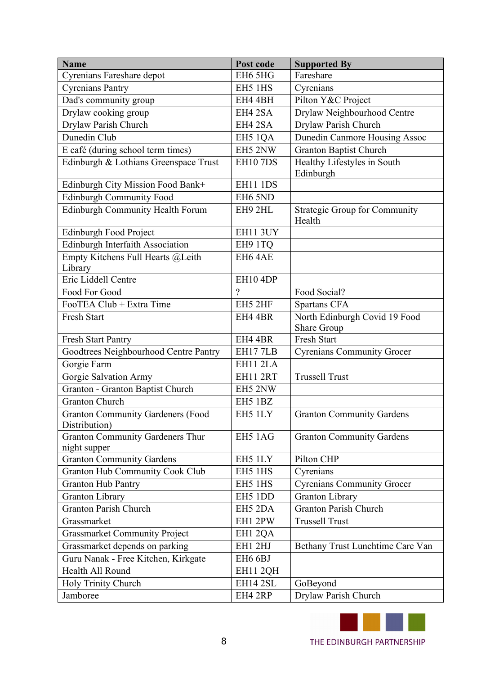| <b>Name</b>                              | Post code            | <b>Supported By</b>                  |
|------------------------------------------|----------------------|--------------------------------------|
| Cyrenians Fareshare depot                | EH6 5HG              | Fareshare                            |
| <b>Cyrenians Pantry</b>                  | EH5 1HS              | Cyrenians                            |
| Dad's community group                    | EH4 4BH              | Pilton Y&C Project                   |
| Drylaw cooking group                     | EH4 2SA              | Drylaw Neighbourhood Centre          |
| Drylaw Parish Church                     | EH4 2SA              | Drylaw Parish Church                 |
| Dunedin Club                             | EH5 1QA              | Dunedin Canmore Housing Assoc        |
| E café (during school term times)        | EH5 2NW              | <b>Granton Baptist Church</b>        |
| Edinburgh & Lothians Greenspace Trust    | <b>EH10 7DS</b>      | Healthy Lifestyles in South          |
|                                          |                      | Edinburgh                            |
| Edinburgh City Mission Food Bank+        | <b>EH11 1DS</b>      |                                      |
| Edinburgh Community Food                 | EH6 5ND              |                                      |
| Edinburgh Community Health Forum         | EH9 2HL              | <b>Strategic Group for Community</b> |
|                                          |                      | Health                               |
| <b>Edinburgh Food Project</b>            | EH11 3UY             |                                      |
| Edinburgh Interfaith Association         | EH9 1TQ              |                                      |
| Empty Kitchens Full Hearts @Leith        | EH64AE               |                                      |
| Library                                  |                      |                                      |
| Eric Liddell Centre                      | EH10 4DP<br>$\gamma$ |                                      |
| Food For Good                            |                      | Food Social?                         |
| FooTEA Club + Extra Time                 | EH5 2HF              | Spartans CFA                         |
| Fresh Start                              | EH4 4BR              | North Edinburgh Covid 19 Food        |
| Fresh Start Pantry                       | EH4 4BR              | Share Group<br>Fresh Start           |
| Goodtrees Neighbourhood Centre Pantry    | EH177LB              | <b>Cyrenians Community Grocer</b>    |
| Gorgie Farm                              | EH11 2LA             |                                      |
| Gorgie Salvation Army                    | EH11 2RT             | <b>Trussell Trust</b>                |
| Granton - Granton Baptist Church         | EH5 2NW              |                                      |
| <b>Granton Church</b>                    | EH5 1BZ              |                                      |
| <b>Granton Community Gardeners (Food</b> | EH5 1LY              | <b>Granton Community Gardens</b>     |
| Distribution)                            |                      |                                      |
| <b>Granton Community Gardeners Thur</b>  | EH5 1AG              | <b>Granton Community Gardens</b>     |
| night supper                             |                      |                                      |
| <b>Granton Community Gardens</b>         | EH5 1LY              | Pilton CHP                           |
| <b>Granton Hub Community Cook Club</b>   | EH5 1HS              | Cyrenians                            |
| <b>Granton Hub Pantry</b>                | EH5 1HS              | <b>Cyrenians Community Grocer</b>    |
| <b>Granton Library</b>                   | EH5 1DD              | <b>Granton Library</b>               |
| <b>Granton Parish Church</b>             | EH5 2DA              | <b>Granton Parish Church</b>         |
| Grassmarket                              | EH1 2PW              | <b>Trussell Trust</b>                |
| <b>Grassmarket Community Project</b>     | EH1 2QA              |                                      |
| Grassmarket depends on parking           | EH1 2HJ              | Bethany Trust Lunchtime Care Van     |
| Guru Nanak - Free Kitchen, Kirkgate      | EH6 6BJ              |                                      |
| Health All Round                         | EH11 2QH             |                                      |
| Holy Trinity Church                      | EH14 2SL             | GoBeyond                             |
| Jamboree                                 | EH4 2RP              | Drylaw Parish Church                 |

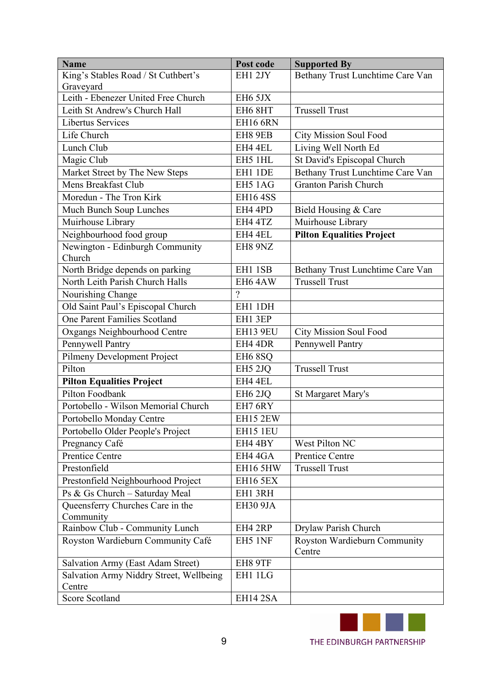| <b>Name</b>                              | Post code           | <b>Supported By</b>                    |
|------------------------------------------|---------------------|----------------------------------------|
| King's Stables Road / St Cuthbert's      | EH1 2JY             | Bethany Trust Lunchtime Care Van       |
| Graveyard                                |                     |                                        |
| Leith - Ebenezer United Free Church      | EH6 5JX             |                                        |
| Leith St Andrew's Church Hall            | EH6 8HT             | <b>Trussell Trust</b>                  |
| Libertus Services                        | <b>EH16 6RN</b>     |                                        |
| Life Church                              | EH8 9EB             | City Mission Soul Food                 |
| Lunch Club                               | EH4 4EL             | Living Well North Ed                   |
| Magic Club                               | EH5 1HL             | St David's Episcopal Church            |
| Market Street by The New Steps           | EH1 1DE             | Bethany Trust Lunchtime Care Van       |
| Mens Breakfast Club                      | EH5 1AG             | <b>Granton Parish Church</b>           |
| Moredun - The Tron Kirk                  | <b>EH164SS</b>      |                                        |
| Much Bunch Soup Lunches                  | EH4 4PD             | Bield Housing & Care                   |
| Muirhouse Library                        | EH4 4TZ             | Muirhouse Library                      |
| Neighbourhood food group                 | EH4 4EL             | <b>Pilton Equalities Project</b>       |
| Newington - Edinburgh Community          | EH8 9NZ             |                                        |
| Church                                   |                     |                                        |
| North Bridge depends on parking          | EH1 1SB             | Bethany Trust Lunchtime Care Van       |
| North Leith Parish Church Halls          | EH64AW              | <b>Trussell Trust</b>                  |
| Nourishing Change                        | $\gamma$            |                                        |
| Old Saint Paul's Episcopal Church        | EH1 1DH             |                                        |
| One Parent Families Scotland             | EH1 3EP             |                                        |
| Oxgangs Neighbourhood Centre             | EH13 9EU            | <b>City Mission Soul Food</b>          |
| <b>Pennywell Pantry</b>                  | EH4 4DR             | Pennywell Pantry                       |
| Pilmeny Development Project              | EH <sub>6</sub> 8SQ |                                        |
| Pilton                                   | EH5 2JQ             | <b>Trussell Trust</b>                  |
| <b>Pilton Equalities Project</b>         | EH4 4EL             |                                        |
| Pilton Foodbank                          | EH <sub>6</sub> 2JQ | St Margaret Mary's                     |
| Portobello - Wilson Memorial Church      | EH7 6RY             |                                        |
| Portobello Monday Centre                 | EH15 2EW            |                                        |
| Portobello Older People's Project        | EH15 1EU            |                                        |
| Pregnancy Café                           | EH4 4BY             | West Pilton NC                         |
| <b>Prentice Centre</b>                   | EH4 4GA             | Prentice Centre                        |
| Prestonfield                             | EH16 5HW            | <b>Trussell Trust</b>                  |
| Prestonfield Neighbourhood Project       | <b>EH16 5EX</b>     |                                        |
| Ps & Gs Church - Saturday Meal           | EH1 3RH             |                                        |
| Queensferry Churches Care in the         | EH30 9JA            |                                        |
| Community                                |                     |                                        |
| Rainbow Club - Community Lunch           | EH4 2RP             | Drylaw Parish Church                   |
| Royston Wardieburn Community Café        | EH5 1NF             | Royston Wardieburn Community<br>Centre |
| <b>Salvation Army (East Adam Street)</b> | EH8 9TF             |                                        |
| Salvation Army Niddry Street, Wellbeing  | EH1 1LG             |                                        |
| Centre                                   |                     |                                        |
| Score Scotland                           | EH14 2SA            |                                        |